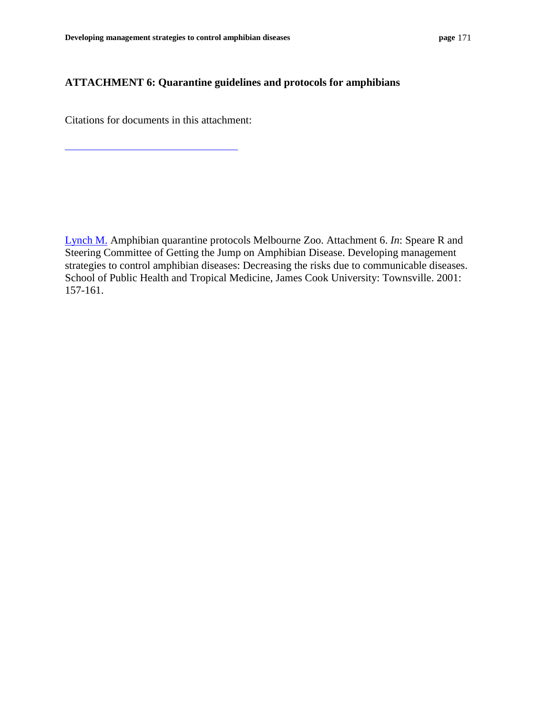## **ATTACHMENT 6: Quarantine guidelines and protocols for amphibians**

Citations for documents in this attachment:

[Lynch M.](#page--1-0) Amphibian quarantine protocols Melbourne Zoo. Attachment 6. *In*: Speare R and Steering Committee of Getting the Jump on Amphibian Disease. Developing management strategies to control amphibian diseases: Decreasing the risks due to communicable diseases. School of Public Health and Tropical Medicine, James Cook University: Townsville. 2001: 157-161.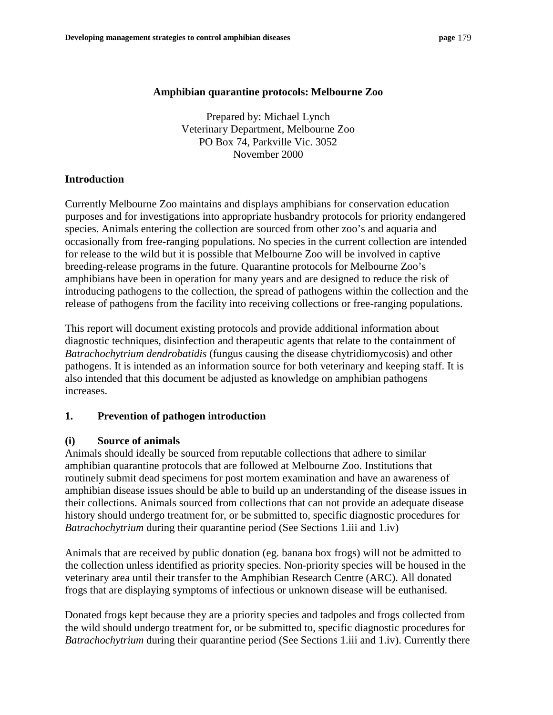#### **Amphibian quarantine protocols: Melbourne Zoo**

Prepared by: Michael Lynch Veterinary Department, Melbourne Zoo PO Box 74, Parkville Vic. 3052 November 2000

## **Introduction**

Currently Melbourne Zoo maintains and displays amphibians for conservation education purposes and for investigations into appropriate husbandry protocols for priority endangered species. Animals entering the collection are sourced from other zoo's and aquaria and occasionally from free-ranging populations. No species in the current collection are intended for release to the wild but it is possible that Melbourne Zoo will be involved in captive breeding-release programs in the future. Quarantine protocols for Melbourne Zoo's amphibians have been in operation for many years and are designed to reduce the risk of introducing pathogens to the collection, the spread of pathogens within the collection and the release of pathogens from the facility into receiving collections or free-ranging populations.

This report will document existing protocols and provide additional information about diagnostic techniques, disinfection and therapeutic agents that relate to the containment of *Batrachochytrium dendrobatidis* (fungus causing the disease chytridiomycosis) and other pathogens. It is intended as an information source for both veterinary and keeping staff. It is also intended that this document be adjusted as knowledge on amphibian pathogens increases.

## **1. Prevention of pathogen introduction**

## **(i) Source of animals**

Animals should ideally be sourced from reputable collections that adhere to similar amphibian quarantine protocols that are followed at Melbourne Zoo. Institutions that routinely submit dead specimens for post mortem examination and have an awareness of amphibian disease issues should be able to build up an understanding of the disease issues in their collections. Animals sourced from collections that can not provide an adequate disease history should undergo treatment for, or be submitted to, specific diagnostic procedures for *Batrachochytrium* during their quarantine period (See Sections 1.iii and 1.iv)

Animals that are received by public donation (eg. banana box frogs) will not be admitted to the collection unless identified as priority species. Non-priority species will be housed in the veterinary area until their transfer to the Amphibian Research Centre (ARC). All donated frogs that are displaying symptoms of infectious or unknown disease will be euthanised.

Donated frogs kept because they are a priority species and tadpoles and frogs collected from the wild should undergo treatment for, or be submitted to, specific diagnostic procedures for *Batrachochytrium* during their quarantine period (See Sections 1.iii and 1.iv). Currently there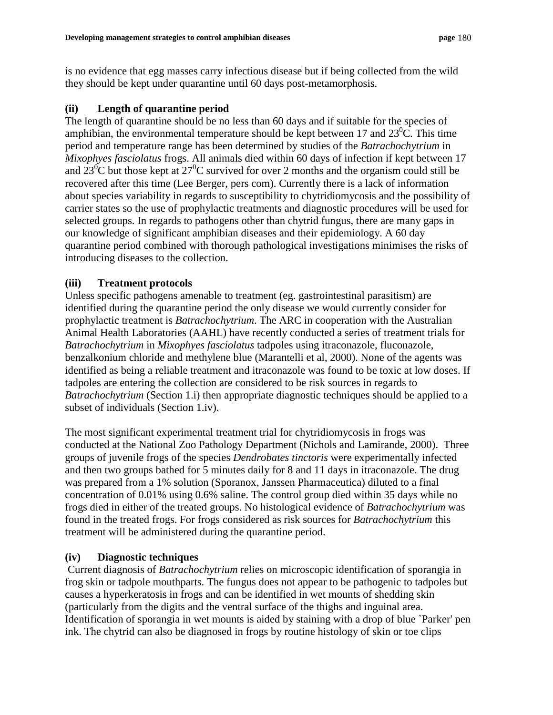is no evidence that egg masses carry infectious disease but if being collected from the wild they should be kept under quarantine until 60 days post-metamorphosis.

# **(ii) Length of quarantine period**

The length of quarantine should be no less than 60 days and if suitable for the species of amphibian, the environmental temperature should be kept between 17 and  $23^{\circ}$ C. This time period and temperature range has been determined by studies of the *Batrachochytrium* in *Mixophyes fasciolatus* frogs. All animals died within 60 days of infection if kept between 17 and  $23^{\circ}$ C but those kept at  $27^{\circ}$ C survived for over 2 months and the organism could still be recovered after this time (Lee Berger, pers com). Currently there is a lack of information about species variability in regards to susceptibility to chytridiomycosis and the possibility of carrier states so the use of prophylactic treatments and diagnostic procedures will be used for selected groups. In regards to pathogens other than chytrid fungus, there are many gaps in our knowledge of significant amphibian diseases and their epidemiology. A 60 day quarantine period combined with thorough pathological investigations minimises the risks of introducing diseases to the collection.

# **(iii) Treatment protocols**

Unless specific pathogens amenable to treatment (eg. gastrointestinal parasitism) are identified during the quarantine period the only disease we would currently consider for prophylactic treatment is *Batrachochytrium*. The ARC in cooperation with the Australian Animal Health Laboratories (AAHL) have recently conducted a series of treatment trials for *Batrachochytrium* in *Mixophyes fasciolatus* tadpoles using itraconazole, fluconazole, benzalkonium chloride and methylene blue (Marantelli et al, 2000). None of the agents was identified as being a reliable treatment and itraconazole was found to be toxic at low doses. If tadpoles are entering the collection are considered to be risk sources in regards to *Batrachochytrium* (Section 1.*i*) then appropriate diagnostic techniques should be applied to a subset of individuals (Section 1.iv).

The most significant experimental treatment trial for chytridiomycosis in frogs was conducted at the National Zoo Pathology Department (Nichols and Lamirande, 2000). Three groups of juvenile frogs of the species *Dendrobates tinctoris* were experimentally infected and then two groups bathed for 5 minutes daily for 8 and 11 days in itraconazole. The drug was prepared from a 1% solution (Sporanox, Janssen Pharmaceutica) diluted to a final concentration of 0.01% using 0.6% saline. The control group died within 35 days while no frogs died in either of the treated groups. No histological evidence of *Batrachochytrium* was found in the treated frogs. For frogs considered as risk sources for *Batrachochytrium* this treatment will be administered during the quarantine period.

# **(iv) Diagnostic techniques**

 Current diagnosis of *Batrachochytrium* relies on microscopic identification of sporangia in frog skin or tadpole mouthparts. The fungus does not appear to be pathogenic to tadpoles but causes a hyperkeratosis in frogs and can be identified in wet mounts of shedding skin (particularly from the digits and the ventral surface of the thighs and inguinal area. Identification of sporangia in wet mounts is aided by staining with a drop of blue `Parker' pen ink. The chytrid can also be diagnosed in frogs by routine histology of skin or toe clips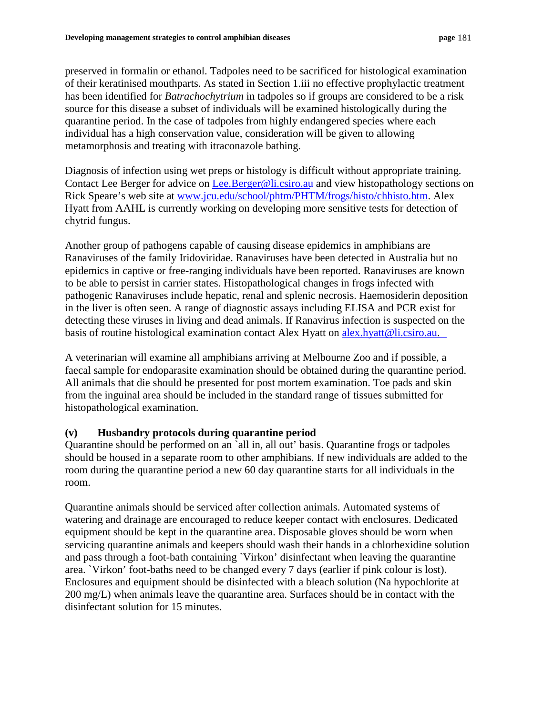preserved in formalin or ethanol. Tadpoles need to be sacrificed for histological examination of their keratinised mouthparts. As stated in Section 1.iii no effective prophylactic treatment has been identified for *Batrachochytrium* in tadpoles so if groups are considered to be a risk source for this disease a subset of individuals will be examined histologically during the quarantine period. In the case of tadpoles from highly endangered species where each individual has a high conservation value, consideration will be given to allowing metamorphosis and treating with itraconazole bathing.

Diagnosis of infection using wet preps or histology is difficult without appropriate training. Contact Lee Berger for advice on [Lee.Berger](mailto:Lee.Berger@li.csiro.au)@li.csiro.au and view histopathology sections on Rick Speare's web site at [www.jcu.edu/school/phtm/PHTM/frogs/histo/chhisto.htm.](http://www.jcu.edu/school/phtm/PHTM/frogs/histo/chhisto.htm) Alex Hyatt from AAHL is currently working on developing more sensitive tests for detection of chytrid fungus.

Another group of pathogens capable of causing disease epidemics in amphibians are Ranaviruses of the family Iridoviridae. Ranaviruses have been detected in Australia but no epidemics in captive or free-ranging individuals have been reported. Ranaviruses are known to be able to persist in carrier states. Histopathological changes in frogs infected with pathogenic Ranaviruses include hepatic, renal and splenic necrosis. Haemosiderin deposition in the liver is often seen. A range of diagnostic assays including ELISA and PCR exist for detecting these viruses in living and dead animals. If Ranavirus infection is suspected on the basis of routine histological examination contact Alex Hyatt on [alex.hyatt@](mailto:alex.hyatt@dah.csiro.au)li.csiro.au.

A veterinarian will examine all amphibians arriving at Melbourne Zoo and if possible, a faecal sample for endoparasite examination should be obtained during the quarantine period. All animals that die should be presented for post mortem examination. Toe pads and skin from the inguinal area should be included in the standard range of tissues submitted for histopathological examination.

# **(v) Husbandry protocols during quarantine period**

Quarantine should be performed on an `all in, all out' basis. Quarantine frogs or tadpoles should be housed in a separate room to other amphibians. If new individuals are added to the room during the quarantine period a new 60 day quarantine starts for all individuals in the room.

Quarantine animals should be serviced after collection animals. Automated systems of watering and drainage are encouraged to reduce keeper contact with enclosures. Dedicated equipment should be kept in the quarantine area. Disposable gloves should be worn when servicing quarantine animals and keepers should wash their hands in a chlorhexidine solution and pass through a foot-bath containing `Virkon' disinfectant when leaving the quarantine area. `Virkon' foot-baths need to be changed every 7 days (earlier if pink colour is lost). Enclosures and equipment should be disinfected with a bleach solution (Na hypochlorite at 200 mg/L) when animals leave the quarantine area. Surfaces should be in contact with the disinfectant solution for 15 minutes.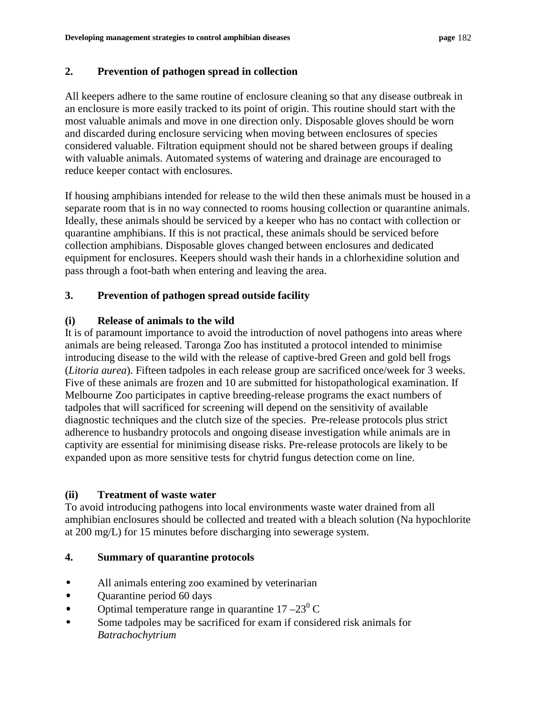## **2. Prevention of pathogen spread in collection**

All keepers adhere to the same routine of enclosure cleaning so that any disease outbreak in an enclosure is more easily tracked to its point of origin. This routine should start with the most valuable animals and move in one direction only. Disposable gloves should be worn and discarded during enclosure servicing when moving between enclosures of species considered valuable. Filtration equipment should not be shared between groups if dealing with valuable animals. Automated systems of watering and drainage are encouraged to reduce keeper contact with enclosures.

If housing amphibians intended for release to the wild then these animals must be housed in a separate room that is in no way connected to rooms housing collection or quarantine animals. Ideally, these animals should be serviced by a keeper who has no contact with collection or quarantine amphibians. If this is not practical, these animals should be serviced before collection amphibians. Disposable gloves changed between enclosures and dedicated equipment for enclosures. Keepers should wash their hands in a chlorhexidine solution and pass through a foot-bath when entering and leaving the area.

# **3. Prevention of pathogen spread outside facility**

## **(i) Release of animals to the wild**

It is of paramount importance to avoid the introduction of novel pathogens into areas where animals are being released. Taronga Zoo has instituted a protocol intended to minimise introducing disease to the wild with the release of captive-bred Green and gold bell frogs (*Litoria aurea*). Fifteen tadpoles in each release group are sacrificed once/week for 3 weeks. Five of these animals are frozen and 10 are submitted for histopathological examination. If Melbourne Zoo participates in captive breeding-release programs the exact numbers of tadpoles that will sacrificed for screening will depend on the sensitivity of available diagnostic techniques and the clutch size of the species. Pre-release protocols plus strict adherence to husbandry protocols and ongoing disease investigation while animals are in captivity are essential for minimising disease risks. Pre-release protocols are likely to be expanded upon as more sensitive tests for chytrid fungus detection come on line.

## **(ii) Treatment of waste water**

To avoid introducing pathogens into local environments waste water drained from all amphibian enclosures should be collected and treated with a bleach solution (Na hypochlorite at 200 mg/L) for 15 minutes before discharging into sewerage system.

## **4. Summary of quarantine protocols**

- All animals entering zoo examined by veterinarian
- Quarantine period 60 days
- Optimal temperature range in quarantine  $17 23^{\circ}$  C
- Some tadpoles may be sacrificed for exam if considered risk animals for *Batrachochytrium*